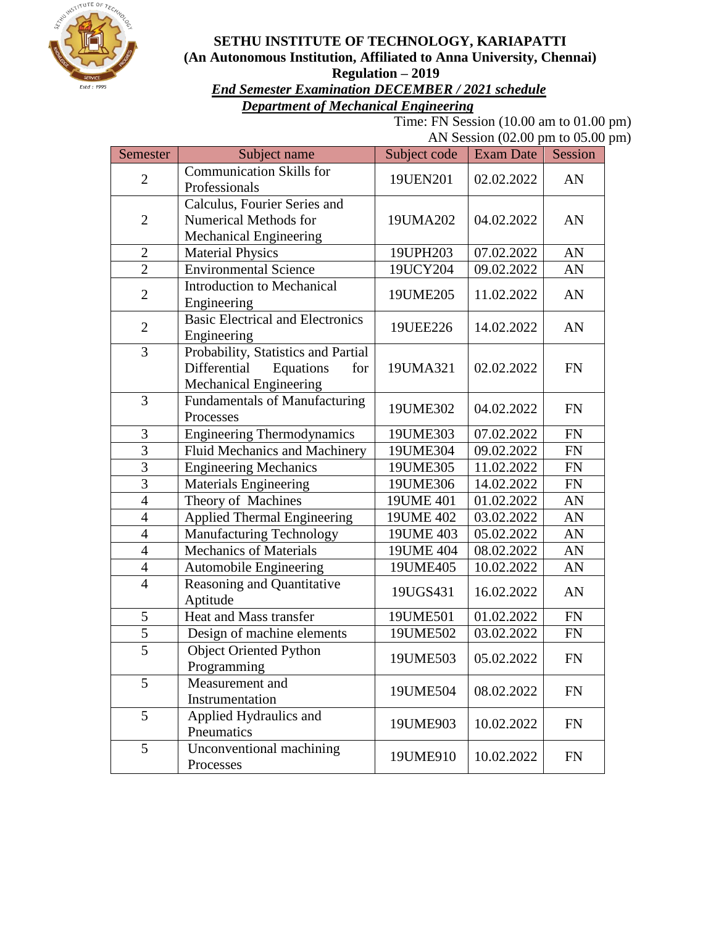

#### **SETHU INSTITUTE OF TECHNOLOGY, KARIAPATTI (An Autonomous Institution, Affiliated to Anna University, Chennai) Regulation – 2019**

#### *End Semester Examination DECEMBER / 2021 schedule Department of Mechanical Engineering*

Time: FN Session (10.00 am to 01.00 pm) AN Session (02.00 pm to 05.00 pm)

| Semester       | Subject name                                                                                             | Subject code | $\ldots$ belonger (02.00 pm to 03.<br>Exam Date | Session    |
|----------------|----------------------------------------------------------------------------------------------------------|--------------|-------------------------------------------------|------------|
| $\overline{2}$ | <b>Communication Skills for</b><br>Professionals                                                         | 19UEN201     | 02.02.2022                                      | AN         |
| $\overline{2}$ | Calculus, Fourier Series and<br><b>Numerical Methods for</b><br><b>Mechanical Engineering</b>            | 19UMA202     | 04.02.2022                                      | AN         |
| $\overline{2}$ | <b>Material Physics</b>                                                                                  | 19UPH203     | 07.02.2022                                      | AN         |
| $\overline{2}$ | <b>Environmental Science</b>                                                                             | 19UCY204     | 09.02.2022                                      | AN         |
| $\overline{2}$ | <b>Introduction to Mechanical</b><br>Engineering                                                         | 19UME205     | 11.02.2022                                      | AN         |
| $\overline{2}$ | <b>Basic Electrical and Electronics</b><br>Engineering                                                   | 19UEE226     | 14.02.2022                                      | AN         |
| 3              | Probability, Statistics and Partial<br>Differential<br>Equations<br>for<br><b>Mechanical Engineering</b> | 19UMA321     | 02.02.2022                                      | <b>FN</b>  |
| $\overline{3}$ | Fundamentals of Manufacturing<br>Processes                                                               | 19UME302     | 04.02.2022                                      | <b>FN</b>  |
| 3              | Engineering Thermodynamics                                                                               | 19UME303     | 07.02.2022                                      | ${\rm FN}$ |
| $\overline{3}$ | Fluid Mechanics and Machinery                                                                            | 19UME304     | 09.02.2022                                      | FN         |
| $\overline{3}$ | <b>Engineering Mechanics</b>                                                                             | 19UME305     | 11.02.2022                                      | ${\rm FN}$ |
| $\overline{3}$ | <b>Materials Engineering</b>                                                                             | 19UME306     | 14.02.2022                                      | <b>FN</b>  |
| $\overline{4}$ | Theory of Machines                                                                                       | 19UME 401    | 01.02.2022                                      | AN         |
| $\overline{4}$ | <b>Applied Thermal Engineering</b>                                                                       | 19UME 402    | 03.02.2022                                      | AN         |
| $\overline{4}$ | <b>Manufacturing Technology</b>                                                                          | 19UME 403    | 05.02.2022                                      | AN         |
| $\overline{4}$ | <b>Mechanics of Materials</b>                                                                            | 19UME 404    | 08.02.2022                                      | AN         |
| $\overline{4}$ | Automobile Engineering                                                                                   | 19UME405     | 10.02.2022                                      | AN         |
| $\overline{4}$ | Reasoning and Quantitative<br>Aptitude                                                                   | 19UGS431     | 16.02.2022                                      | AN         |
| 5              | Heat and Mass transfer                                                                                   | 19UME501     | 01.02.2022                                      | ${\rm FN}$ |
| $\overline{5}$ | Design of machine elements                                                                               | 19UME502     | 03.02.2022                                      | <b>FN</b>  |
| $\overline{5}$ | <b>Object Oriented Python</b><br>Programming                                                             | 19UME503     | 05.02.2022                                      | <b>FN</b>  |
| 5              | Measurement and<br>Instrumentation                                                                       | 19UME504     | 08.02.2022                                      | <b>FN</b>  |
| 5              | Applied Hydraulics and<br>Pneumatics                                                                     | 19UME903     | 10.02.2022                                      | <b>FN</b>  |
| 5              | Unconventional machining<br>Processes                                                                    | 19UME910     | 10.02.2022                                      | FN         |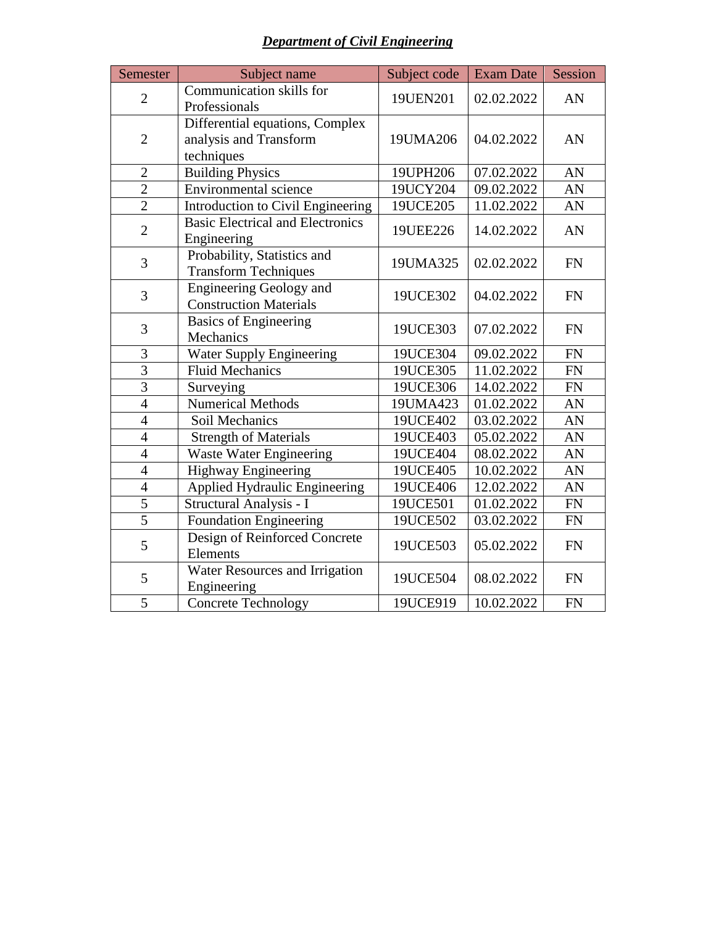| <b>Department of Civil Engineering</b> |  |  |  |  |
|----------------------------------------|--|--|--|--|
|----------------------------------------|--|--|--|--|

| Semester       | Subject name                                                            | Subject code | <b>Exam Date</b> | Session    |
|----------------|-------------------------------------------------------------------------|--------------|------------------|------------|
| $\overline{2}$ | Communication skills for<br>Professionals                               | 19UEN201     | 02.02.2022       | AN         |
| $\overline{2}$ | Differential equations, Complex<br>analysis and Transform<br>techniques | 19UMA206     | 04.02.2022       | AN         |
| $\overline{2}$ | <b>Building Physics</b>                                                 | 19UPH206     | 07.02.2022       | AN         |
| $\overline{2}$ | <b>Environmental</b> science                                            | 19UCY204     | 09.02.2022       | AN         |
| $\overline{2}$ | <b>Introduction to Civil Engineering</b>                                | 19UCE205     | 11.02.2022       | AN         |
| $\overline{2}$ | <b>Basic Electrical and Electronics</b><br>Engineering                  | 19UEE226     | 14.02.2022       | AN         |
| 3              | Probability, Statistics and<br><b>Transform Techniques</b>              | 19UMA325     | 02.02.2022       | <b>FN</b>  |
| 3              | <b>Engineering Geology and</b><br><b>Construction Materials</b>         | 19UCE302     | 04.02.2022       | <b>FN</b>  |
| 3              | <b>Basics of Engineering</b><br>Mechanics                               | 19UCE303     | 07.02.2022       | <b>FN</b>  |
| 3              | Water Supply Engineering                                                | 19UCE304     | 09.02.2022       | <b>FN</b>  |
| $\overline{3}$ | <b>Fluid Mechanics</b>                                                  | 19UCE305     | 11.02.2022       | ${\rm FN}$ |
| $\overline{3}$ | Surveying                                                               | 19UCE306     | 14.02.2022       | <b>FN</b>  |
| $\overline{4}$ | <b>Numerical Methods</b>                                                | 19UMA423     | 01.02.2022       | AN         |
| $\overline{4}$ | Soil Mechanics                                                          | 19UCE402     | 03.02.2022       | AN         |
| $\overline{4}$ | <b>Strength of Materials</b>                                            | 19UCE403     | 05.02.2022       | AN         |
| $\overline{4}$ | <b>Waste Water Engineering</b>                                          | 19UCE404     | 08.02.2022       | AN         |
| $\overline{4}$ | Highway Engineering                                                     | 19UCE405     | 10.02.2022       | AN         |
| $\overline{4}$ | <b>Applied Hydraulic Engineering</b>                                    | 19UCE406     | 12.02.2022       | AN         |
| $\overline{5}$ | Structural Analysis - I                                                 | 19UCE501     | 01.02.2022       | <b>FN</b>  |
| $\overline{5}$ | Foundation Engineering                                                  | 19UCE502     | 03.02.2022       | <b>FN</b>  |
| 5              | Design of Reinforced Concrete<br>Elements                               | 19UCE503     | 05.02.2022       | <b>FN</b>  |
| 5              | Water Resources and Irrigation<br>Engineering                           | 19UCE504     | 08.02.2022       | <b>FN</b>  |
| 5              | <b>Concrete Technology</b>                                              | 19UCE919     | 10.02.2022       | <b>FN</b>  |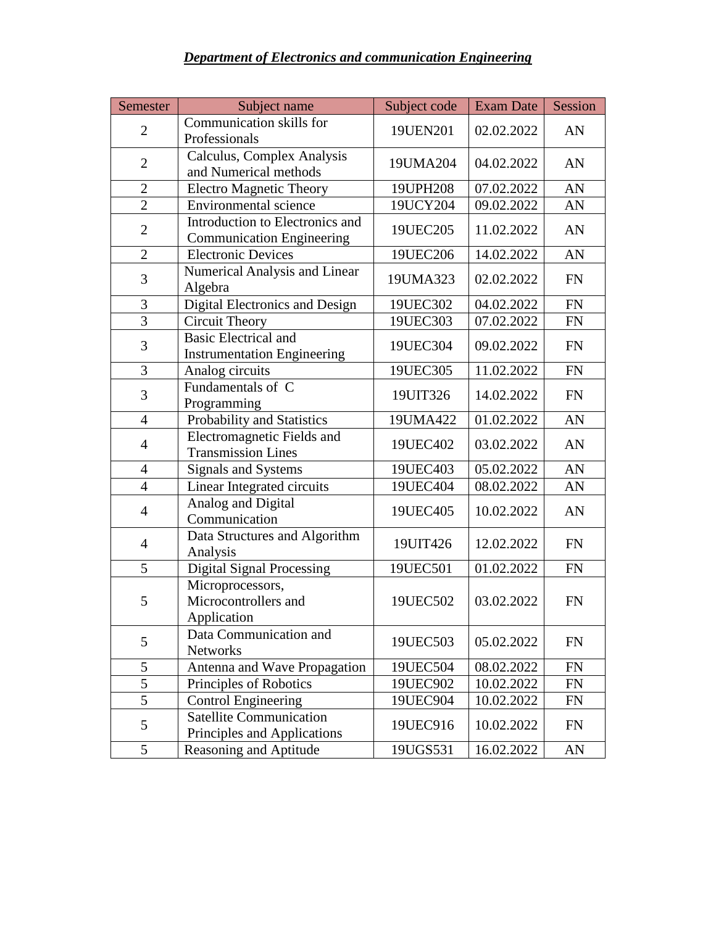#### *Department of Electronics and communication Engineering*

| Semester       | Subject name                                                        | Subject code | <b>Exam Date</b> | Session   |
|----------------|---------------------------------------------------------------------|--------------|------------------|-----------|
| $\overline{2}$ | Communication skills for<br>Professionals                           | 19UEN201     | 02.02.2022       | AN        |
| $\overline{2}$ | Calculus, Complex Analysis<br>and Numerical methods                 | 19UMA204     | 04.02.2022       | AN        |
| $\overline{2}$ | <b>Electro Magnetic Theory</b>                                      | 19UPH208     | 07.02.2022       | AN        |
| $\overline{2}$ | Environmental science                                               | 19UCY204     | 09.02.2022       | AN        |
| $\overline{2}$ | Introduction to Electronics and<br><b>Communication Engineering</b> | 19UEC205     | 11.02.2022       | AN        |
| $\overline{2}$ | <b>Electronic Devices</b>                                           | 19UEC206     | 14.02.2022       | AN        |
| 3              | Numerical Analysis and Linear<br>Algebra                            | 19UMA323     | 02.02.2022       | <b>FN</b> |
| 3              | <b>Digital Electronics and Design</b>                               | 19UEC302     | 04.02.2022       | <b>FN</b> |
| $\overline{3}$ | <b>Circuit Theory</b>                                               | 19UEC303     | 07.02.2022       | FN        |
| $\mathfrak{Z}$ | <b>Basic Electrical and</b><br><b>Instrumentation Engineering</b>   | 19UEC304     | 09.02.2022       | <b>FN</b> |
| 3              | Analog circuits                                                     | 19UEC305     | 11.02.2022       | <b>FN</b> |
| 3              | Fundamentals of C<br>Programming                                    | 19UIT326     | 14.02.2022       | <b>FN</b> |
| $\overline{4}$ | Probability and Statistics                                          | 19UMA422     | 01.02.2022       | AN        |
| $\overline{4}$ | Electromagnetic Fields and<br><b>Transmission Lines</b>             | 19UEC402     | 03.02.2022       | AN        |
| $\overline{4}$ | Signals and Systems                                                 | 19UEC403     | 05.02.2022       | AN        |
| $\overline{4}$ | Linear Integrated circuits                                          | 19UEC404     | 08.02.2022       | AN        |
| $\overline{4}$ | Analog and Digital<br>Communication                                 | 19UEC405     | 10.02.2022       | AN        |
| $\overline{4}$ | Data Structures and Algorithm<br>Analysis                           | 19UIT426     | 12.02.2022       | <b>FN</b> |
| 5              | <b>Digital Signal Processing</b>                                    | 19UEC501     | 01.02.2022       | <b>FN</b> |
| 5              | Microprocessors,<br>Microcontrollers and<br>Application             | 19UEC502     | 03.02.2022       | <b>FN</b> |
| 5              | Data Communication and<br><b>Networks</b>                           | 19UEC503     | 05.02.2022       | <b>FN</b> |
| 5              | Antenna and Wave Propagation                                        | 19UEC504     | 08.02.2022       | <b>FN</b> |
| $\overline{5}$ | Principles of Robotics                                              | 19UEC902     | 10.02.2022       | FN        |
| 5              | <b>Control Engineering</b>                                          | 19UEC904     | 10.02.2022       | <b>FN</b> |
| 5              | <b>Satellite Communication</b><br>Principles and Applications       | 19UEC916     | 10.02.2022       | <b>FN</b> |
| 5              | Reasoning and Aptitude                                              | 19UGS531     | 16.02.2022       | AN        |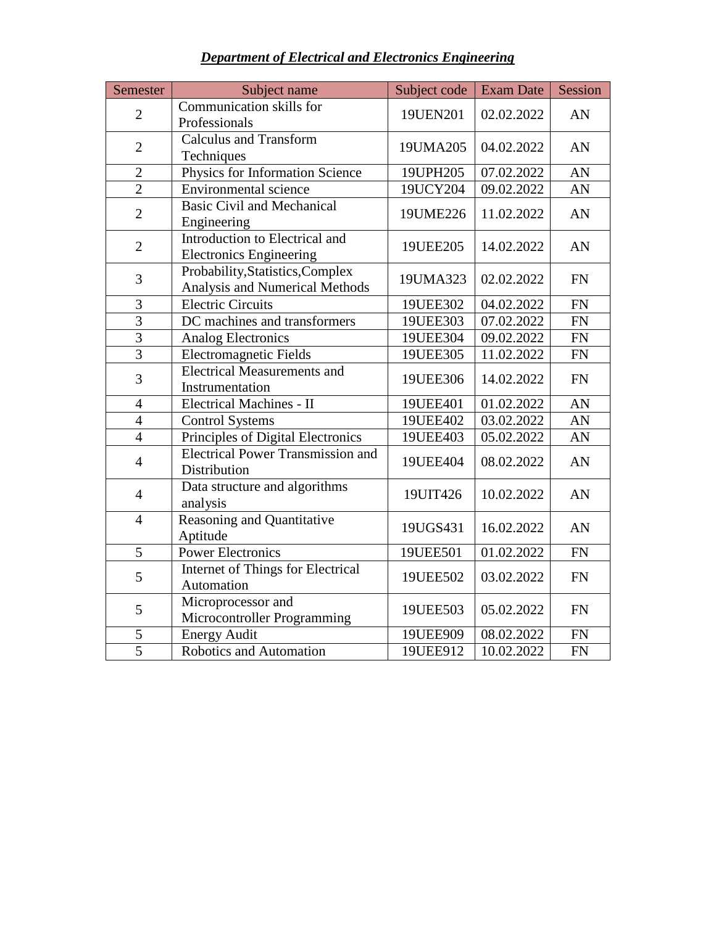| Semester       | Subject name                                                       | Subject code | <b>Exam Date</b> | Session    |
|----------------|--------------------------------------------------------------------|--------------|------------------|------------|
| $\overline{2}$ | Communication skills for<br>Professionals                          | 19UEN201     | 02.02.2022       | AN         |
| $\overline{2}$ | <b>Calculus and Transform</b><br>Techniques                        | 19UMA205     | 04.02.2022       | AN         |
| $\overline{2}$ | Physics for Information Science                                    | 19UPH205     | 07.02.2022       | AN         |
| $\overline{2}$ | <b>Environmental science</b>                                       | 19UCY204     | 09.02.2022       | AN         |
| $\overline{2}$ | <b>Basic Civil and Mechanical</b><br>Engineering                   | 19UME226     | 11.02.2022       | AN         |
| $\mathbf{2}$   | Introduction to Electrical and<br><b>Electronics Engineering</b>   | 19UEE205     | 14.02.2022       | AN         |
| 3              | Probability, Statistics, Complex<br>Analysis and Numerical Methods | 19UMA323     | 02.02.2022       | FN         |
| 3              | <b>Electric Circuits</b>                                           | 19UEE302     | 04.02.2022       | <b>FN</b>  |
| $\overline{3}$ | DC machines and transformers                                       | 19UEE303     | 07.02.2022       | ${\rm FN}$ |
| $\overline{3}$ | <b>Analog Electronics</b>                                          | 19UEE304     | 09.02.2022       | FN         |
| $\overline{3}$ | <b>Electromagnetic Fields</b>                                      | 19UEE305     | 11.02.2022       | ${\rm FN}$ |
| 3              | <b>Electrical Measurements and</b><br>Instrumentation              | 19UEE306     | 14.02.2022       | <b>FN</b>  |
| $\overline{4}$ | <b>Electrical Machines - II</b>                                    | 19UEE401     | 01.02.2022       | AN         |
| $\overline{4}$ | <b>Control Systems</b>                                             | 19UEE402     | 03.02.2022       | AN         |
| $\overline{4}$ | <b>Principles of Digital Electronics</b>                           | 19UEE403     | 05.02.2022       | AN         |
| $\overline{4}$ | <b>Electrical Power Transmission and</b><br>Distribution           | 19UEE404     | 08.02.2022       | AN         |
| $\overline{4}$ | Data structure and algorithms<br>analysis                          | 19UIT426     | 10.02.2022       | AN         |
| $\overline{4}$ | <b>Reasoning and Quantitative</b><br>Aptitude                      | 19UGS431     | 16.02.2022       | AN         |
| $\overline{5}$ | <b>Power Electronics</b>                                           | 19UEE501     | 01.02.2022       | <b>FN</b>  |
| 5              | <b>Internet of Things for Electrical</b><br>Automation             | 19UEE502     | 03.02.2022       | FN         |
| 5              | Microprocessor and<br>Microcontroller Programming                  | 19UEE503     | 05.02.2022       | <b>FN</b>  |
| 5              | <b>Energy Audit</b>                                                | 19UEE909     | 08.02.2022       | ${\rm FN}$ |
| $\overline{5}$ | Robotics and Automation                                            | 19UEE912     | 10.02.2022       | <b>FN</b>  |

*Department of Electrical and Electronics Engineering*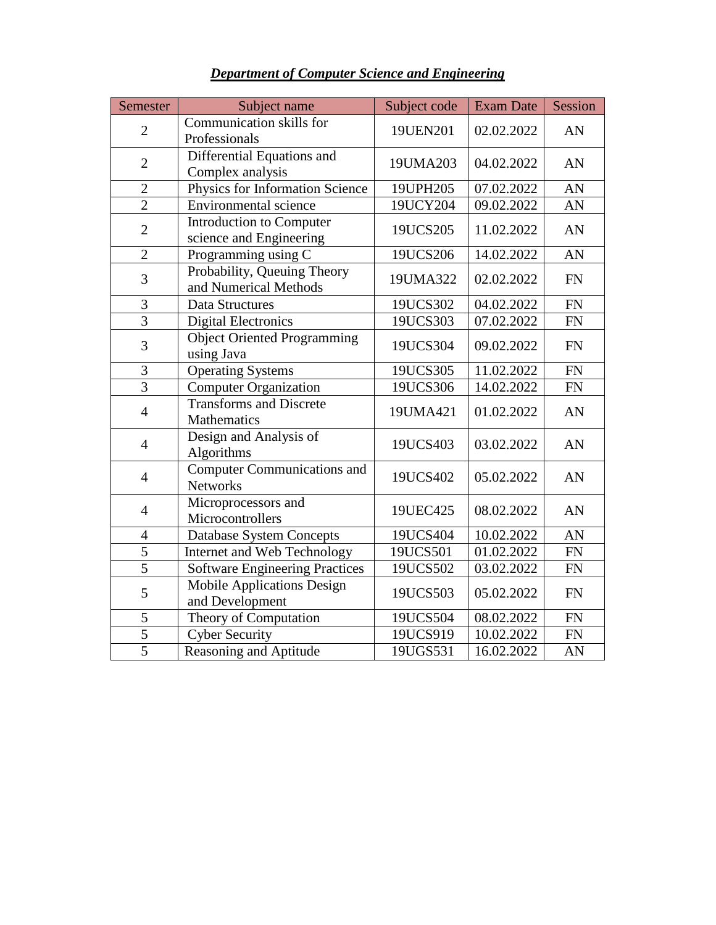| Semester       | Subject name                                          | Subject code | <b>Exam Date</b> | Session   |
|----------------|-------------------------------------------------------|--------------|------------------|-----------|
| $\overline{2}$ | Communication skills for<br>Professionals             | 19UEN201     | 02.02.2022       | AN        |
| $\overline{2}$ | Differential Equations and<br>Complex analysis        | 19UMA203     | 04.02.2022       | AN        |
| $\overline{2}$ | Physics for Information Science                       | 19UPH205     | 07.02.2022       | AN        |
| $\overline{2}$ | <b>Environmental</b> science                          | 19UCY204     | 09.02.2022       | AN        |
| $\overline{2}$ | Introduction to Computer<br>science and Engineering   | 19UCS205     | 11.02.2022       | AN        |
| $\overline{2}$ | Programming using C                                   | 19UCS206     | 14.02.2022       | AN        |
| 3              | Probability, Queuing Theory<br>and Numerical Methods  | 19UMA322     | 02.02.2022       | <b>FN</b> |
| 3              | Data Structures                                       | 19UCS302     | 04.02.2022       | <b>FN</b> |
| $\overline{3}$ | <b>Digital Electronics</b>                            | 19UCS303     | 07.02.2022       | FN        |
| 3              | <b>Object Oriented Programming</b><br>using Java      | 19UCS304     | 09.02.2022       | <b>FN</b> |
| 3              | <b>Operating Systems</b>                              | 19UCS305     | 11.02.2022       | <b>FN</b> |
| $\overline{3}$ | <b>Computer Organization</b>                          | 19UCS306     | 14.02.2022       | <b>FN</b> |
| $\overline{4}$ | <b>Transforms and Discrete</b><br>Mathematics         | 19UMA421     | 01.02.2022       | AN        |
| $\overline{4}$ | Design and Analysis of<br>Algorithms                  | 19UCS403     | 03.02.2022       | AN        |
| $\overline{4}$ | <b>Computer Communications and</b><br><b>Networks</b> | 19UCS402     | 05.02.2022       | AN        |
| $\overline{4}$ | Microprocessors and<br>Microcontrollers               | 19UEC425     | 08.02.2022       | AN        |
| $\overline{4}$ | <b>Database System Concepts</b>                       | 19UCS404     | 10.02.2022       | AN        |
| 5              | Internet and Web Technology                           | 19UCS501     | 01.02.2022       | FN        |
| $\overline{5}$ | <b>Software Engineering Practices</b>                 | 19UCS502     | 03.02.2022       | FN        |
| 5              | <b>Mobile Applications Design</b><br>and Development  | 19UCS503     | 05.02.2022       | <b>FN</b> |
| 5              | Theory of Computation                                 | 19UCS504     | 08.02.2022       | <b>FN</b> |
| $\overline{5}$ | <b>Cyber Security</b>                                 | 19UCS919     | 10.02.2022       | <b>FN</b> |
| $\overline{5}$ | Reasoning and Aptitude                                | 19UGS531     | 16.02.2022       | AN        |

## *Department of Computer Science and Engineering*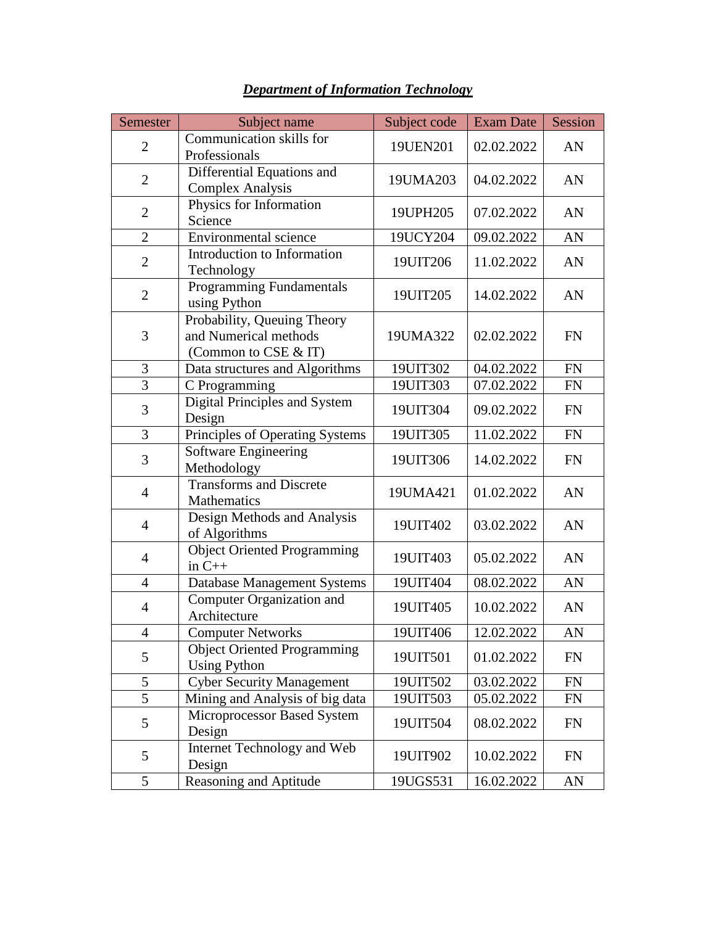| Semester       | Subject name                                                                 | Subject code | <b>Exam Date</b> | Session   |
|----------------|------------------------------------------------------------------------------|--------------|------------------|-----------|
| $\overline{2}$ | Communication skills for<br>Professionals                                    | 19UEN201     | 02.02.2022       | AN        |
| $\overline{2}$ | Differential Equations and<br><b>Complex Analysis</b>                        | 19UMA203     | 04.02.2022       | AN        |
| $\overline{2}$ | Physics for Information<br>Science                                           | 19UPH205     | 07.02.2022       | AN        |
| $\overline{2}$ | Environmental science                                                        | 19UCY204     | 09.02.2022       | AN        |
| $\overline{2}$ | <b>Introduction to Information</b><br>Technology                             | 19UIT206     | 11.02.2022       | AN        |
| $\overline{2}$ | Programming Fundamentals<br>using Python                                     | 19UIT205     | 14.02.2022       | AN        |
| 3              | Probability, Queuing Theory<br>and Numerical methods<br>(Common to CSE & IT) | 19UMA322     | 02.02.2022       | <b>FN</b> |
| 3              | Data structures and Algorithms                                               | 19UIT302     | 04.02.2022       | <b>FN</b> |
| $\overline{3}$ | C Programming                                                                | 19UIT303     | 07.02.2022       | <b>FN</b> |
| 3              | Digital Principles and System<br>Design                                      | 19UIT304     | 09.02.2022       | <b>FN</b> |
| 3              | Principles of Operating Systems                                              | 19UIT305     | 11.02.2022       | <b>FN</b> |
| 3              | <b>Software Engineering</b><br>Methodology                                   | 19UIT306     | 14.02.2022       | <b>FN</b> |
| $\overline{4}$ | <b>Transforms and Discrete</b><br>Mathematics                                | 19UMA421     | 01.02.2022       | AN        |
| $\overline{4}$ | Design Methods and Analysis<br>of Algorithms                                 | 19UIT402     | 03.02.2022       | AN        |
| $\overline{4}$ | <b>Object Oriented Programming</b><br>in $C++$                               | 19UIT403     | 05.02.2022       | AN        |
| $\overline{4}$ | <b>Database Management Systems</b>                                           | 19UIT404     | 08.02.2022       | AN        |
| $\overline{4}$ | Computer Organization and<br>Architecture                                    | 19UIT405     | 10.02.2022       | AN        |
| $\overline{4}$ | Computer Networks                                                            | 19UIT406     | 12.02.2022       | AN        |
| 5              | <b>Object Oriented Programming</b><br><b>Using Python</b>                    | 19UIT501     | 01.02.2022       | <b>FN</b> |
| 5              | <b>Cyber Security Management</b>                                             | 19UIT502     | 03.02.2022       | <b>FN</b> |
| 5              | Mining and Analysis of big data                                              | 19UIT503     | 05.02.2022       | <b>FN</b> |
| 5              | Microprocessor Based System<br>Design                                        | 19UIT504     | 08.02.2022       | FN        |
| 5              | Internet Technology and Web<br>Design                                        | 19UIT902     | 10.02.2022       | <b>FN</b> |
| 5              | <b>Reasoning and Aptitude</b>                                                | 19UGS531     | 16.02.2022       | AN        |

#### *Department of Information Technology*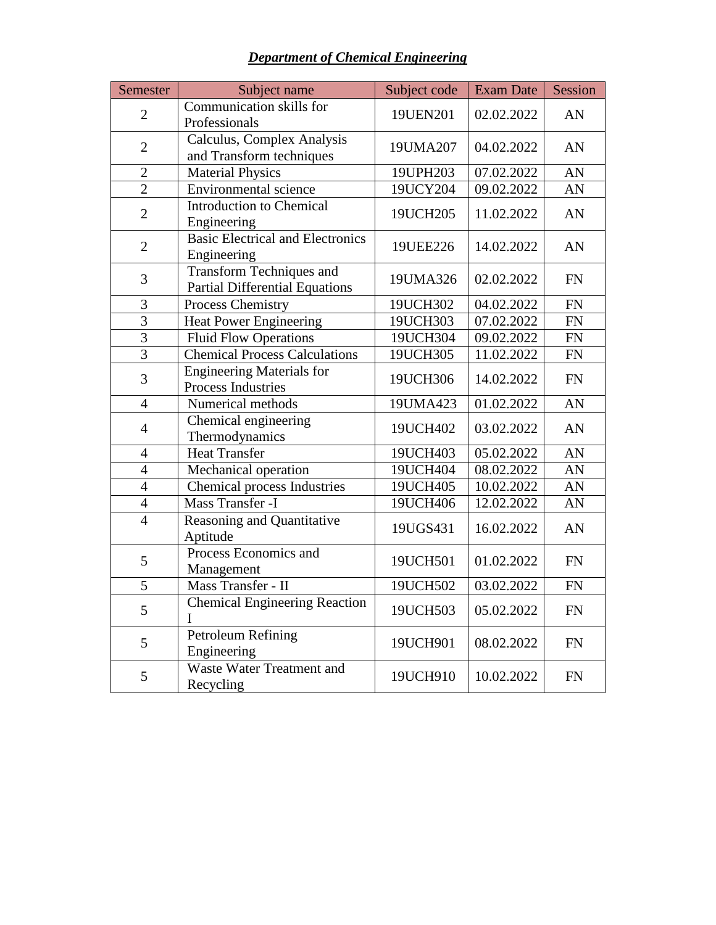| Semester       | Subject name                                                             | Subject code | <b>Exam Date</b> | Session    |
|----------------|--------------------------------------------------------------------------|--------------|------------------|------------|
| $\overline{2}$ | Communication skills for<br>Professionals                                | 19UEN201     | 02.02.2022       | AN         |
| $\overline{2}$ | Calculus, Complex Analysis<br>and Transform techniques                   | 19UMA207     | 04.02.2022       | AN         |
| $\overline{2}$ | Material Physics                                                         | 19UPH203     | 07.02.2022       | AN         |
| $\overline{2}$ | Environmental science                                                    | 19UCY204     | 09.02.2022       | AN         |
| $\overline{2}$ | <b>Introduction to Chemical</b><br>Engineering                           | 19UCH205     | 11.02.2022       | AN         |
| $\overline{2}$ | <b>Basic Electrical and Electronics</b><br>Engineering                   | 19UEE226     | 14.02.2022       | AN         |
| 3              | <b>Transform Techniques and</b><br><b>Partial Differential Equations</b> | 19UMA326     | 02.02.2022       | <b>FN</b>  |
| 3              | Process Chemistry                                                        | 19UCH302     | 04.02.2022       | ${\rm FN}$ |
| $\overline{3}$ | <b>Heat Power Engineering</b>                                            | 19UCH303     | 07.02.2022       | FN         |
| $\overline{3}$ | <b>Fluid Flow Operations</b>                                             | 19UCH304     | 09.02.2022       | ${\rm FN}$ |
| $\overline{3}$ | <b>Chemical Process Calculations</b>                                     | 19UCH305     | 11.02.2022       | ${\rm FN}$ |
| 3              | <b>Engineering Materials for</b><br>Process Industries                   | 19UCH306     | 14.02.2022       | ${\rm FN}$ |
| $\overline{4}$ | Numerical methods                                                        | 19UMA423     | 01.02.2022       | AN         |
| $\overline{4}$ | Chemical engineering<br>Thermodynamics                                   | 19UCH402     | 03.02.2022       | AN         |
| $\overline{4}$ | <b>Heat Transfer</b>                                                     | 19UCH403     | 05.02.2022       | AN         |
| $\overline{4}$ | Mechanical operation                                                     | 19UCH404     | 08.02.2022       | AN         |
| $\overline{4}$ | <b>Chemical process Industries</b>                                       | 19UCH405     | 10.02.2022       | AN         |
| $\overline{4}$ | Mass Transfer -I                                                         | 19UCH406     | 12.02.2022       | AN         |
| $\overline{4}$ | Reasoning and Quantitative<br>Aptitude                                   | 19UGS431     | 16.02.2022       | AN         |
| 5              | Process Economics and<br>Management                                      | 19UCH501     | 01.02.2022       | FN         |
| $\overline{5}$ | Mass Transfer - II                                                       | 19UCH502     | 03.02.2022       | ${\rm FN}$ |
| 5              | <b>Chemical Engineering Reaction</b><br>$\mathbf I$                      | 19UCH503     | 05.02.2022       | ${\rm FN}$ |
| 5              | Petroleum Refining<br>Engineering                                        | 19UCH901     | 08.02.2022       | <b>FN</b>  |
| 5              | <b>Waste Water Treatment and</b><br>Recycling                            | 19UCH910     | 10.02.2022       | <b>FN</b>  |

*Department of Chemical Engineering*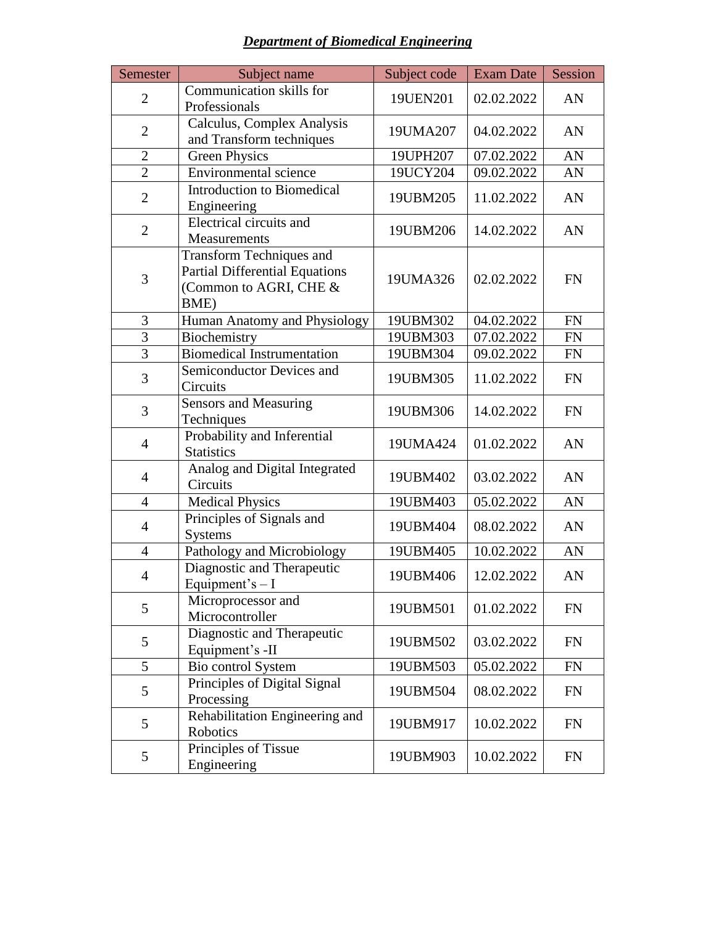| <b>Department of Biomedical Engineering</b> |  |  |
|---------------------------------------------|--|--|
|                                             |  |  |

| Semester       | Subject name                                                                                               | Subject code | <b>Exam Date</b> | Session   |
|----------------|------------------------------------------------------------------------------------------------------------|--------------|------------------|-----------|
| $\overline{2}$ | Communication skills for<br>Professionals                                                                  | 19UEN201     | 02.02.2022       | AN        |
| $\overline{2}$ | Calculus, Complex Analysis<br>and Transform techniques                                                     | 19UMA207     | 04.02.2022       | AN        |
| $\overline{2}$ | <b>Green Physics</b>                                                                                       | 19UPH207     | 07.02.2022       | AN        |
| $\overline{2}$ | Environmental science                                                                                      | 19UCY204     | 09.02.2022       | AN        |
| $\overline{2}$ | <b>Introduction to Biomedical</b><br>Engineering                                                           | 19UBM205     | 11.02.2022       | AN        |
| $\overline{2}$ | Electrical circuits and<br>Measurements                                                                    | 19UBM206     | 14.02.2022       | AN        |
| 3              | <b>Transform Techniques and</b><br><b>Partial Differential Equations</b><br>(Common to AGRI, CHE &<br>BME) | 19UMA326     | 02.02.2022       | <b>FN</b> |
| 3              | Human Anatomy and Physiology                                                                               | 19UBM302     | 04.02.2022       | <b>FN</b> |
| 3              | Biochemistry                                                                                               | 19UBM303     | 07.02.2022       | <b>FN</b> |
| 3              | Biomedical Instrumentation                                                                                 | 19UBM304     | 09.02.2022       | <b>FN</b> |
| 3              | Semiconductor Devices and<br>Circuits                                                                      | 19UBM305     | 11.02.2022       | <b>FN</b> |
| 3              | <b>Sensors and Measuring</b><br>Techniques                                                                 | 19UBM306     | 14.02.2022       | <b>FN</b> |
| $\overline{4}$ | Probability and Inferential<br><b>Statistics</b>                                                           | 19UMA424     | 01.02.2022       | AN        |
| $\overline{4}$ | Analog and Digital Integrated<br>Circuits                                                                  | 19UBM402     | 03.02.2022       | AN        |
| $\overline{4}$ | <b>Medical Physics</b>                                                                                     | 19UBM403     | 05.02.2022       | AN        |
| $\overline{4}$ | Principles of Signals and<br><b>Systems</b>                                                                | 19UBM404     | 08.02.2022       | AN        |
| $\overline{4}$ | Pathology and Microbiology                                                                                 | 19UBM405     | 10.02.2022       | AN        |
| $\overline{4}$ | Diagnostic and Therapeutic<br>Equipment's $- I$                                                            | 19UBM406     | 12.02.2022       | AN        |
| 5              | Microprocessor and<br>Microcontroller                                                                      | 19UBM501     | 01.02.2022       | <b>FN</b> |
| 5              | Diagnostic and Therapeutic<br>Equipment's -II                                                              | 19UBM502     | 03.02.2022       | <b>FN</b> |
| 5              | Bio control System                                                                                         | 19UBM503     | 05.02.2022       | <b>FN</b> |
| 5              | Principles of Digital Signal<br>Processing                                                                 | 19UBM504     | 08.02.2022       | <b>FN</b> |
| 5              | Rehabilitation Engineering and<br>Robotics                                                                 | 19UBM917     | 10.02.2022       | <b>FN</b> |
| 5              | Principles of Tissue<br>Engineering                                                                        | 19UBM903     | 10.02.2022       | <b>FN</b> |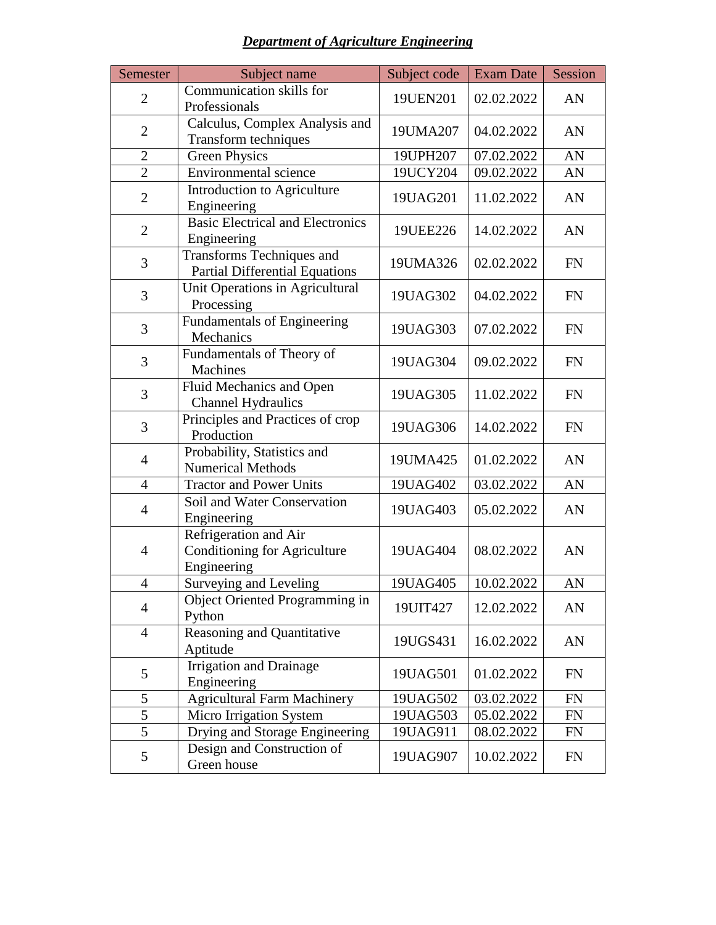## *Department of Agriculture Engineering*

| Semester       | Subject name                                                         | Subject code | <b>Exam Date</b> | Session   |
|----------------|----------------------------------------------------------------------|--------------|------------------|-----------|
| $\overline{2}$ | Communication skills for<br>Professionals                            | 19UEN201     | 02.02.2022       | AN        |
| $\overline{2}$ | Calculus, Complex Analysis and<br>Transform techniques               | 19UMA207     | 04.02.2022       | AN        |
| $\overline{2}$ | <b>Green Physics</b>                                                 | 19UPH207     | 07.02.2022       | AN        |
| $\overline{2}$ | Environmental science                                                | 19UCY204     | 09.02.2022       | AN        |
| $\overline{2}$ | Introduction to Agriculture<br>Engineering                           | 19UAG201     | 11.02.2022       | AN        |
| $\overline{2}$ | <b>Basic Electrical and Electronics</b><br>Engineering               | 19UEE226     | 14.02.2022       | AN        |
| 3              | Transforms Techniques and<br><b>Partial Differential Equations</b>   | 19UMA326     | 02.02.2022       | <b>FN</b> |
| 3              | Unit Operations in Agricultural<br>Processing                        | 19UAG302     | 04.02.2022       | <b>FN</b> |
| 3              | <b>Fundamentals of Engineering</b><br>Mechanics                      | 19UAG303     | 07.02.2022       | FN        |
| 3              | Fundamentals of Theory of<br>Machines                                | 19UAG304     | 09.02.2022       | <b>FN</b> |
| 3              | Fluid Mechanics and Open<br><b>Channel Hydraulics</b>                | 19UAG305     | 11.02.2022       | <b>FN</b> |
| 3              | Principles and Practices of crop<br>Production                       | 19UAG306     | 14.02.2022       | <b>FN</b> |
| $\overline{4}$ | Probability, Statistics and<br><b>Numerical Methods</b>              | 19UMA425     | 01.02.2022       | AN        |
| $\overline{4}$ | <b>Tractor and Power Units</b>                                       | 19UAG402     | 03.02.2022       | AN        |
| $\overline{4}$ | Soil and Water Conservation<br>Engineering                           | 19UAG403     | 05.02.2022       | AN        |
| $\overline{4}$ | Refrigeration and Air<br>Conditioning for Agriculture<br>Engineering | 19UAG404     | 08.02.2022       | AN        |
| $\overline{4}$ | Surveying and Leveling                                               | 19UAG405     | 10.02.2022       | AN        |
| $\overline{4}$ | Object Oriented Programming in<br>Python                             | 19UIT427     | 12.02.2022       | AN        |
| $\overline{4}$ | Reasoning and Quantitative<br>Aptitude                               | 19UGS431     | 16.02.2022       | AN        |
| 5              | Irrigation and Drainage<br>Engineering                               | 19UAG501     | 01.02.2022       | FN        |
| 5              | <b>Agricultural Farm Machinery</b>                                   | 19UAG502     | 03.02.2022       | FN        |
| $\overline{5}$ | Micro Irrigation System                                              | 19UAG503     | 05.02.2022       | <b>FN</b> |
| $\overline{5}$ | Drying and Storage Engineering                                       | 19UAG911     | 08.02.2022       | <b>FN</b> |
| 5              | Design and Construction of<br>Green house                            | 19UAG907     | 10.02.2022       | <b>FN</b> |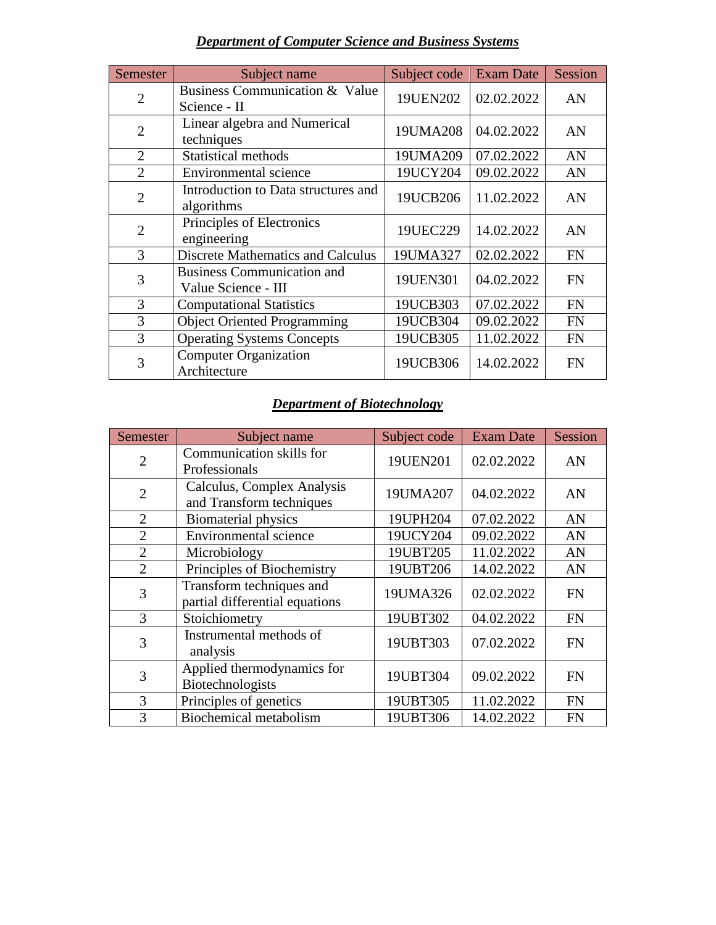# *Department of Computer Science and Business Systems*

| Semester       | Subject name                                             | Subject code | <b>Exam Date</b> | Session   |
|----------------|----------------------------------------------------------|--------------|------------------|-----------|
| $\overline{2}$ | Business Communication & Value<br>Science - II           | 19UEN202     | 02.02.2022       | AN        |
| $\overline{2}$ | Linear algebra and Numerical<br>techniques               | 19UMA208     | 04.02.2022       | AN        |
| 2              | <b>Statistical methods</b>                               | 19UMA209     | 07.02.2022       | AN        |
| $\overline{2}$ | Environmental science                                    | 19UCY204     | 09.02.2022       | AN        |
| $\overline{2}$ | Introduction to Data structures and<br>algorithms        | 19UCB206     | 11.02.2022       | AN        |
| $\overline{2}$ | Principles of Electronics<br>engineering                 | 19UEC229     | 14.02.2022       | AN        |
| 3              | <b>Discrete Mathematics and Calculus</b>                 | 19UMA327     | 02.02.2022       | <b>FN</b> |
| 3              | <b>Business Communication and</b><br>Value Science - III | 19UEN301     | 04.02.2022       | <b>FN</b> |
| 3              | <b>Computational Statistics</b>                          | 19UCB303     | 07.02.2022       | <b>FN</b> |
| 3              | <b>Object Oriented Programming</b>                       | 19UCB304     | 09.02.2022       | <b>FN</b> |
| 3              | <b>Operating Systems Concepts</b>                        | 19UCB305     | 11.02.2022       | <b>FN</b> |
| 3              | <b>Computer Organization</b><br>Architecture             | 19UCB306     | 14.02.2022       | <b>FN</b> |

## *Department of Biotechnology*

| Semester       | Subject name                                               | Subject code | <b>Exam Date</b> | <b>Session</b> |
|----------------|------------------------------------------------------------|--------------|------------------|----------------|
| $\overline{2}$ | Communication skills for<br>Professionals                  | 19UEN201     | 02.02.2022       | AN             |
| $\overline{2}$ | Calculus, Complex Analysis<br>and Transform techniques     | 19UMA207     | 04.02.2022       | AN             |
| $\overline{2}$ | <b>Biomaterial physics</b>                                 | 19UPH204     | 07.02.2022       | AN             |
| $\overline{2}$ | <b>Environmental science</b>                               | 19UCY204     | 09.02.2022       | AN             |
| $\overline{2}$ | Microbiology                                               | 19UBT205     | 11.02.2022       | AN             |
| $\overline{2}$ | Principles of Biochemistry                                 | 19UBT206     | 14.02.2022       | AN             |
| 3              | Transform techniques and<br>partial differential equations | 19UMA326     | 02.02.2022       | <b>FN</b>      |
| 3              | Stoichiometry                                              | 19UBT302     | 04.02.2022       | <b>FN</b>      |
| 3              | Instrumental methods of<br>analysis                        | 19UBT303     | 07.02.2022       | <b>FN</b>      |
| 3              | Applied thermodynamics for<br>Biotechnologists             | 19UBT304     | 09.02.2022       | <b>FN</b>      |
| 3              | Principles of genetics                                     | 19UBT305     | 11.02.2022       | <b>FN</b>      |
| 3              | Biochemical metabolism                                     | 19UBT306     | 14.02.2022       | <b>FN</b>      |